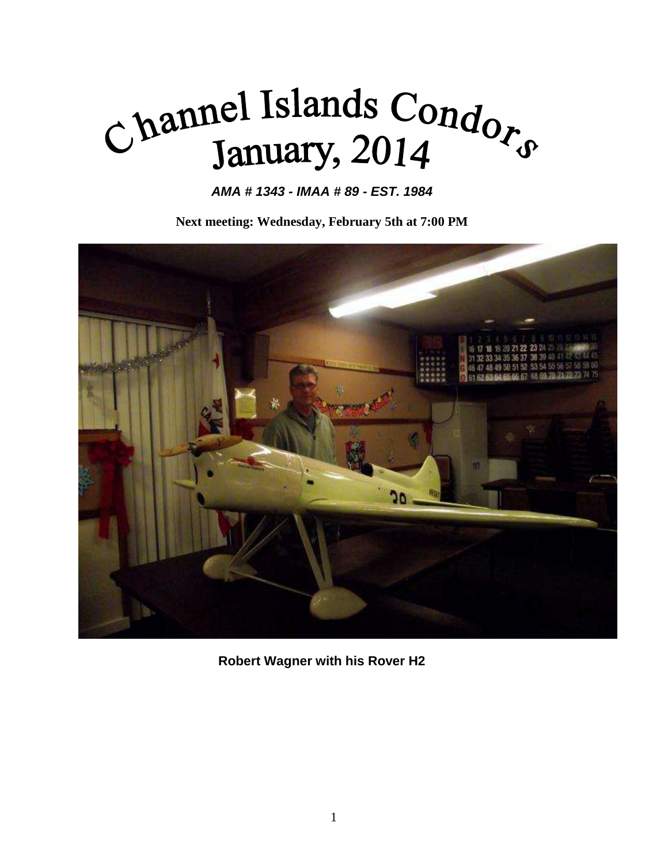## Channel Islands Condors

*AMA # 1343 - IMAA # 89 - EST. 1984*

**Next meeting: Wednesday, February 5th at 7:00 PM**



**Robert Wagner with his Rover H2**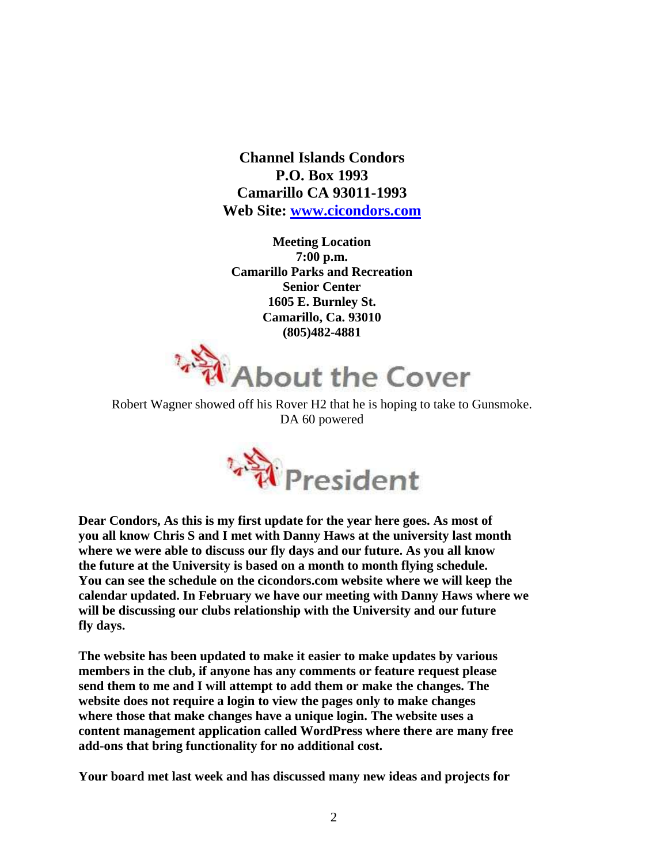**Channel Islands Condors P.O. Box 1993 Camarillo CA 93011-1993 Web Site: [www.cicondors.com](http://www.cicondors.com/)**

**Meeting Location 7:00 p.m. Camarillo Parks and Recreation Senior Center 1605 E. Burnley St. Camarillo, Ca. 93010 (805)482-4881**



Robert Wagner showed off his Rover H2 that he is hoping to take to Gunsmoke. DA 60 powered



**Dear Condors, As this is my first update for the year here goes. As most of you all know Chris S and I met with Danny Haws at the university last month where we were able to discuss our fly days and our future. As you all know the future at the University is based on a month to month flying schedule. You can see the schedule on the cicondors.com website where we will keep the calendar updated. In February we have our meeting with Danny Haws where we will be discussing our clubs relationship with the University and our future fly days.**

**The website has been updated to make it easier to make updates by various members in the club, if anyone has any comments or feature request please send them to me and I will attempt to add them or make the changes. The website does not require a login to view the pages only to make changes where those that make changes have a unique login. The website uses a content management application called WordPress where there are many free add-ons that bring functionality for no additional cost.**

**Your board met last week and has discussed many new ideas and projects for**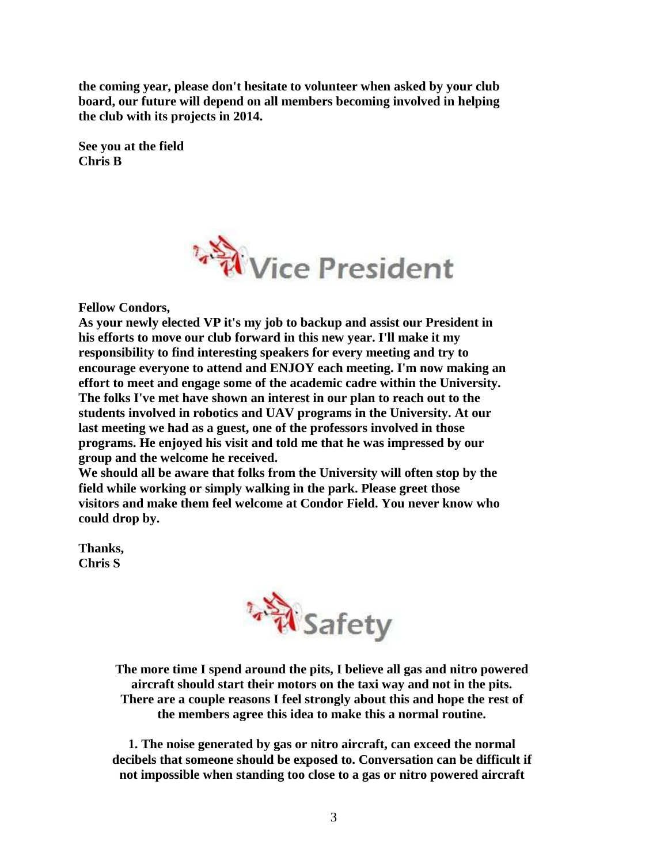**the coming year, please don't hesitate to volunteer when asked by your club board, our future will depend on all members becoming involved in helping the club with its projects in 2014.**

**See you at the field Chris B**



**Fellow Condors,**

**As your newly elected VP it's my job to backup and assist our President in his efforts to move our club forward in this new year. I'll make it my responsibility to find interesting speakers for every meeting and try to encourage everyone to attend and ENJOY each meeting. I'm now making an effort to meet and engage some of the academic cadre within the University. The folks I've met have shown an interest in our plan to reach out to the students involved in robotics and UAV programs in the University. At our last meeting we had as a guest, one of the professors involved in those programs. He enjoyed his visit and told me that he was impressed by our group and the welcome he received.** 

**We should all be aware that folks from the University will often stop by the field while working or simply walking in the park. Please greet those visitors and make them feel welcome at Condor Field. You never know who could drop by.**

**Thanks, Chris S**



**The more time I spend around the pits, I believe all gas and nitro powered aircraft should start their motors on the taxi way and not in the pits. There are a couple reasons I feel strongly about this and hope the rest of the members agree this idea to make this a normal routine.**

**1. The noise generated by gas or nitro aircraft, can exceed the normal decibels that someone should be exposed to. Conversation can be difficult if not impossible when standing too close to a gas or nitro powered aircraft**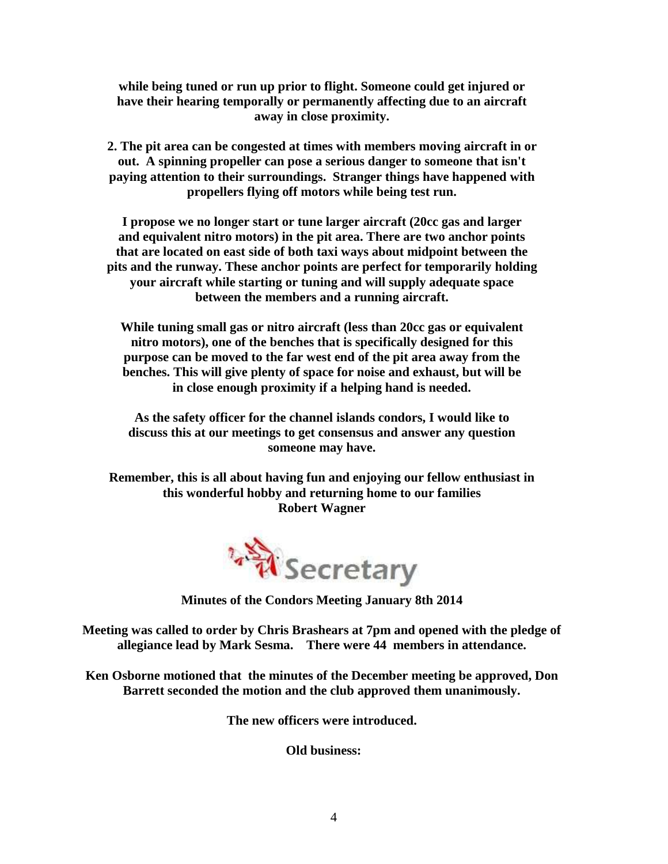**while being tuned or run up prior to flight. Someone could get injured or have their hearing temporally or permanently affecting due to an aircraft away in close proximity.**

**2. The pit area can be congested at times with members moving aircraft in or out. A spinning propeller can pose a serious danger to someone that isn't paying attention to their surroundings. Stranger things have happened with propellers flying off motors while being test run.**

**I propose we no longer start or tune larger aircraft (20cc gas and larger and equivalent nitro motors) in the pit area. There are two anchor points that are located on east side of both taxi ways about midpoint between the pits and the runway. These anchor points are perfect for temporarily holding your aircraft while starting or tuning and will supply adequate space between the members and a running aircraft.**

**While tuning small gas or nitro aircraft (less than 20cc gas or equivalent nitro motors), one of the benches that is specifically designed for this purpose can be moved to the far west end of the pit area away from the benches. This will give plenty of space for noise and exhaust, but will be in close enough proximity if a helping hand is needed.**

**As the safety officer for the channel islands condors, I would like to discuss this at our meetings to get consensus and answer any question someone may have.**

**Remember, this is all about having fun and enjoying our fellow enthusiast in this wonderful hobby and returning home to our families Robert Wagner**



**Minutes of the Condors Meeting January 8th 2014**

**Meeting was called to order by Chris Brashears at 7pm and opened with the pledge of allegiance lead by Mark Sesma. There were 44 members in attendance.**

**Ken Osborne motioned that the minutes of the December meeting be approved, Don Barrett seconded the motion and the club approved them unanimously.** 

**The new officers were introduced.**

**Old business:**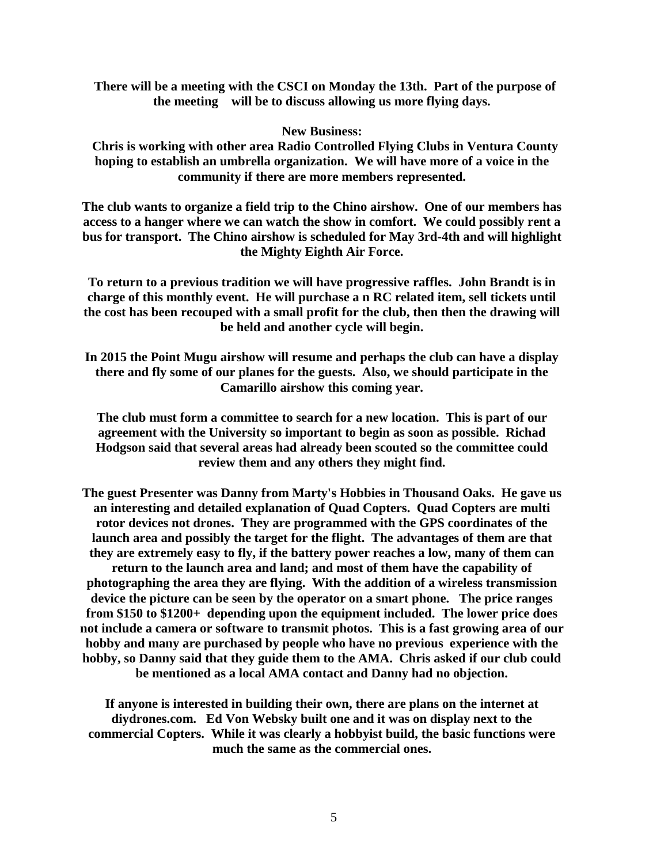**There will be a meeting with the CSCI on Monday the 13th. Part of the purpose of the meeting will be to discuss allowing us more flying days.**

**New Business:**

 **Chris is working with other area Radio Controlled Flying Clubs in Ventura County hoping to establish an umbrella organization. We will have more of a voice in the community if there are more members represented.**

**The club wants to organize a field trip to the Chino airshow. One of our members has access to a hanger where we can watch the show in comfort. We could possibly rent a bus for transport. The Chino airshow is scheduled for May 3rd-4th and will highlight the Mighty Eighth Air Force.**

**To return to a previous tradition we will have progressive raffles. John Brandt is in charge of this monthly event. He will purchase a n RC related item, sell tickets until**  the cost has been recouped with a small profit for the club, then then the drawing will **be held and another cycle will begin.**

**In 2015 the Point Mugu airshow will resume and perhaps the club can have a display there and fly some of our planes for the guests. Also, we should participate in the Camarillo airshow this coming year.**

**The club must form a committee to search for a new location. This is part of our agreement with the University so important to begin as soon as possible. Richad Hodgson said that several areas had already been scouted so the committee could review them and any others they might find.**

**The guest Presenter was Danny from Marty's Hobbies in Thousand Oaks. He gave us an interesting and detailed explanation of Quad Copters. Quad Copters are multi rotor devices not drones. They are programmed with the GPS coordinates of the launch area and possibly the target for the flight. The advantages of them are that they are extremely easy to fly, if the battery power reaches a low, many of them can return to the launch area and land; and most of them have the capability of photographing the area they are flying. With the addition of a wireless transmission device the picture can be seen by the operator on a smart phone. The price ranges from \$150 to \$1200+ depending upon the equipment included. The lower price does not include a camera or software to transmit photos. This is a fast growing area of our hobby and many are purchased by people who have no previous experience with the hobby, so Danny said that they guide them to the AMA. Chris asked if our club could be mentioned as a local AMA contact and Danny had no objection.**

**If anyone is interested in building their own, there are plans on the internet at diydrones.com. Ed Von Websky built one and it was on display next to the commercial Copters. While it was clearly a hobbyist build, the basic functions were much the same as the commercial ones.**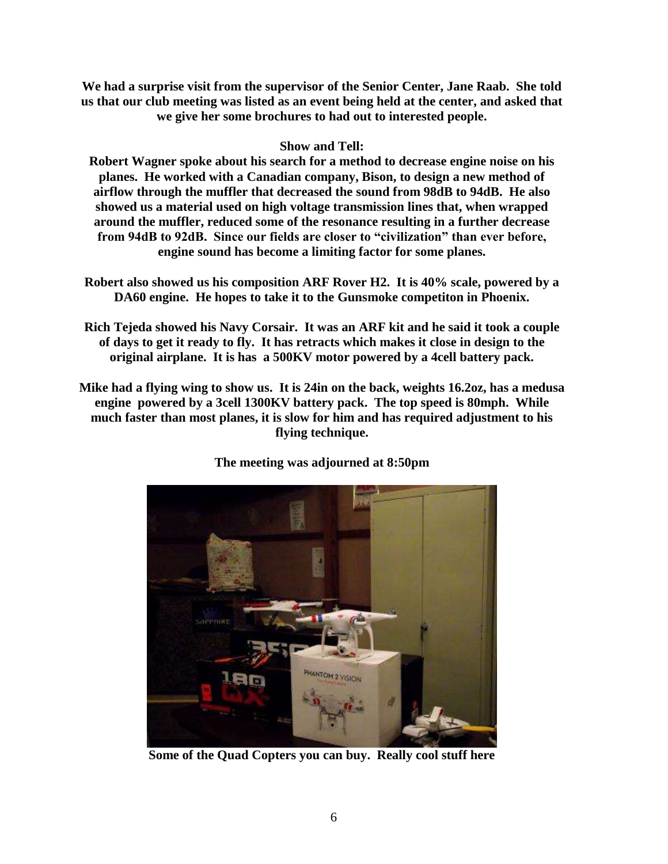**We had a surprise visit from the supervisor of the Senior Center, Jane Raab. She told us that our club meeting was listed as an event being held at the center, and asked that we give her some brochures to had out to interested people.**

## **Show and Tell:**

**Robert Wagner spoke about his search for a method to decrease engine noise on his planes. He worked with a Canadian company, Bison, to design a new method of airflow through the muffler that decreased the sound from 98dB to 94dB. He also showed us a material used on high voltage transmission lines that, when wrapped around the muffler, reduced some of the resonance resulting in a further decrease from 94dB to 92dB. Since our fields are closer to "civilization" than ever before, engine sound has become a limiting factor for some planes.**

- **Robert also showed us his composition ARF Rover H2. It is 40% scale, powered by a DA60 engine. He hopes to take it to the Gunsmoke competiton in Phoenix.**
- **Rich Tejeda showed his Navy Corsair. It was an ARF kit and he said it took a couple of days to get it ready to fly. It has retracts which makes it close in design to the original airplane. It is has a 500KV motor powered by a 4cell battery pack.**
- **Mike had a flying wing to show us. It is 24in on the back, weights 16.2oz, has a medusa engine powered by a 3cell 1300KV battery pack. The top speed is 80mph. While much faster than most planes, it is slow for him and has required adjustment to his flying technique.**



**The meeting was adjourned at 8:50pm**

**Some of the Quad Copters you can buy. Really cool stuff here**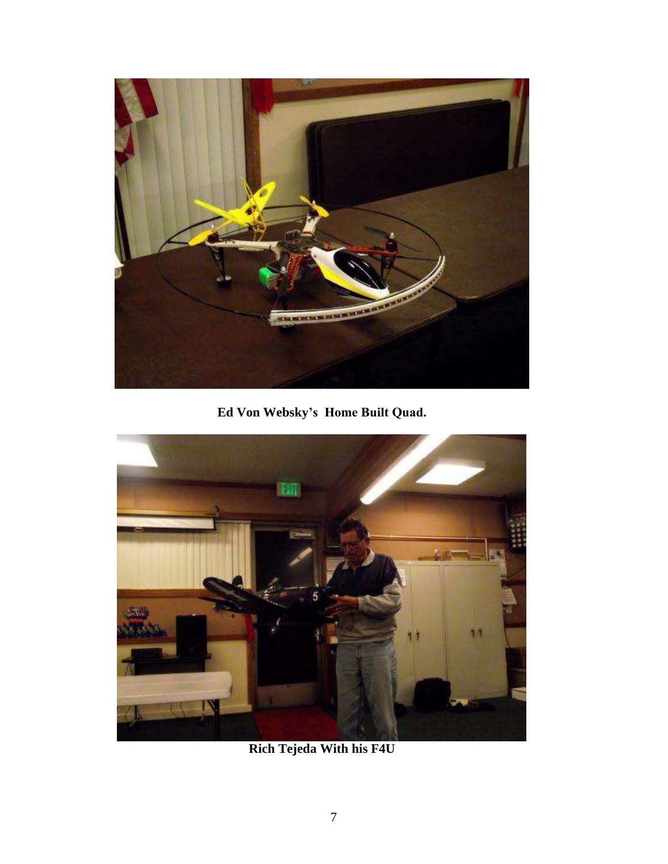

**Ed Von Websky's Home Built Quad.**



**Rich Tejeda With his F4U**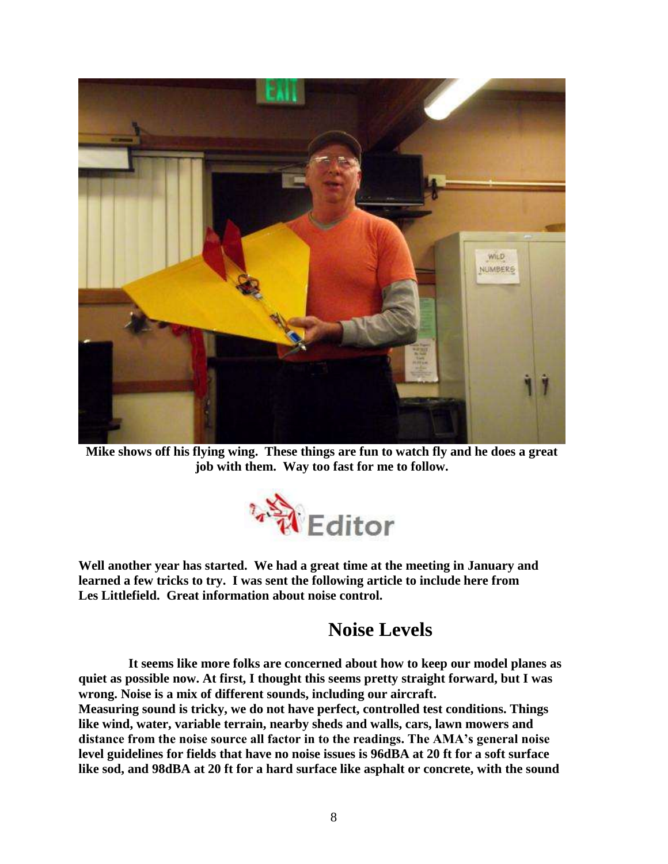

**Mike shows off his flying wing. These things are fun to watch fly and he does a great job with them. Way too fast for me to follow.**



**Well another year has started. We had a great time at the meeting in January and learned a few tricks to try. I was sent the following article to include here from Les Littlefield. Great information about noise control.**

## **Noise Levels**

**It seems like more folks are concerned about how to keep our model planes as quiet as possible now. At first, I thought this seems pretty straight forward, but I was wrong. Noise is a mix of different sounds, including our aircraft. Measuring sound is tricky, we do not have perfect, controlled test conditions. Things** 

**like wind, water, variable terrain, nearby sheds and walls, cars, lawn mowers and distance from the noise source all factor in to the readings. The AMA's general noise level guidelines for fields that have no noise issues is 96dBA at 20 ft for a soft surface like sod, and 98dBA at 20 ft for a hard surface like asphalt or concrete, with the sound**